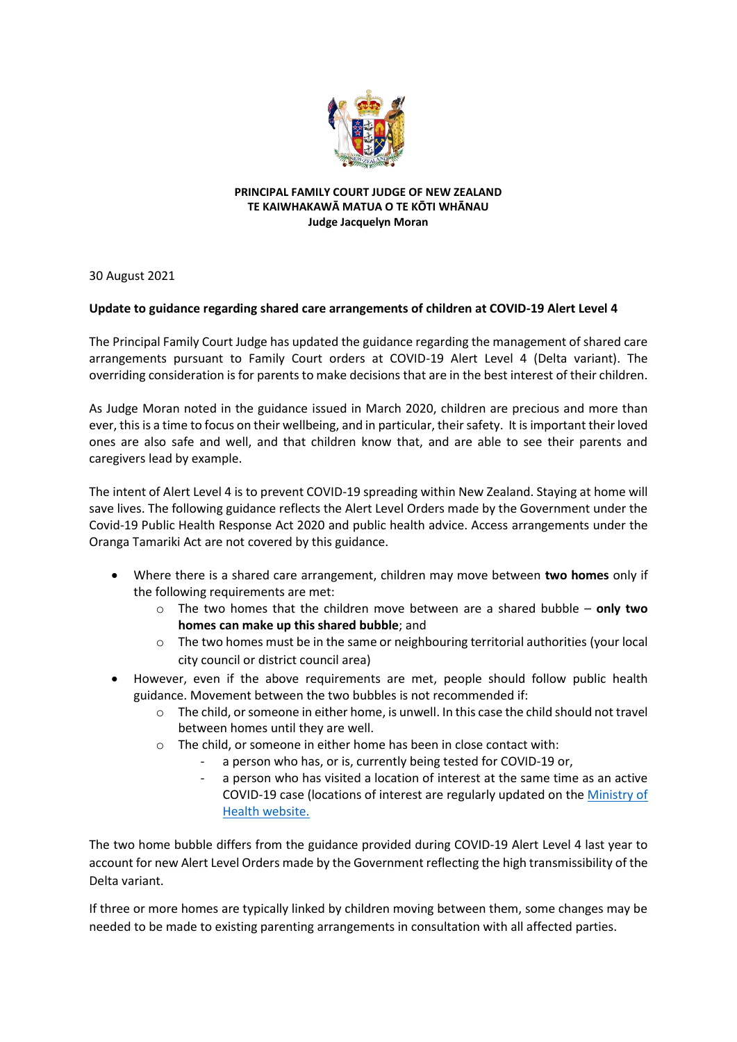

## **PRINCIPAL FAMILY COURT JUDGE OF NEW ZEALAND TE KAIWHAKAWĀ MATUA O TE KŌTI WHĀNAU Judge Jacquelyn Moran**

30 August 2021

## **Update to guidance regarding shared care arrangements of children at COVID-19 Alert Level 4**

The Principal Family Court Judge has updated the guidance regarding the management of shared care arrangements pursuant to Family Court orders at COVID-19 Alert Level 4 (Delta variant). The overriding consideration is for parents to make decisions that are in the best interest of their children.

As Judge Moran noted in the guidance issued in March 2020, children are precious and more than ever, this is a time to focus on their wellbeing, and in particular, their safety. It is important their loved ones are also safe and well, and that children know that, and are able to see their parents and caregivers lead by example.

The intent of Alert Level 4 is to prevent COVID-19 spreading within New Zealand. Staying at home will save lives. The following guidance reflects the Alert Level Orders made by the Government under the Covid-19 Public Health Response Act 2020 and public health advice. Access arrangements under the Oranga Tamariki Act are not covered by this guidance.

- Where there is a shared care arrangement, children may move between **two homes** only if the following requirements are met:
	- o The two homes that the children move between are a shared bubble **only two homes can make up this shared bubble**; and
	- o The two homes must be in the same or neighbouring territorial authorities (your local city council or district council area)
- However, even if the above requirements are met, people should follow public health guidance. Movement between the two bubbles is not recommended if:
	- $\circ$  The child, or someone in either home, is unwell. In this case the child should not travel between homes until they are well.
	- o The child, or someone in either home has been in close contact with:
		- a person who has, or is, currently being tested for COVID-19 or,
		- a person who has visited a location of interest at the same time as an active COVID-19 case (locations of interest are regularly updated on th[e Ministry of](https://www.health.govt.nz/our-work/diseases-and-conditions/covid-19-novel-coronavirus/covid-19-health-advice-public/contact-tracing-covid-19/covid-19-contact-tracing-locations-interest)  [Health website.](https://www.health.govt.nz/our-work/diseases-and-conditions/covid-19-novel-coronavirus/covid-19-health-advice-public/contact-tracing-covid-19/covid-19-contact-tracing-locations-interest)

The two home bubble differs from the guidance provided during COVID-19 Alert Level 4 last year to account for new Alert Level Orders made by the Government reflecting the high transmissibility of the Delta variant.

If three or more homes are typically linked by children moving between them, some changes may be needed to be made to existing parenting arrangements in consultation with all affected parties.